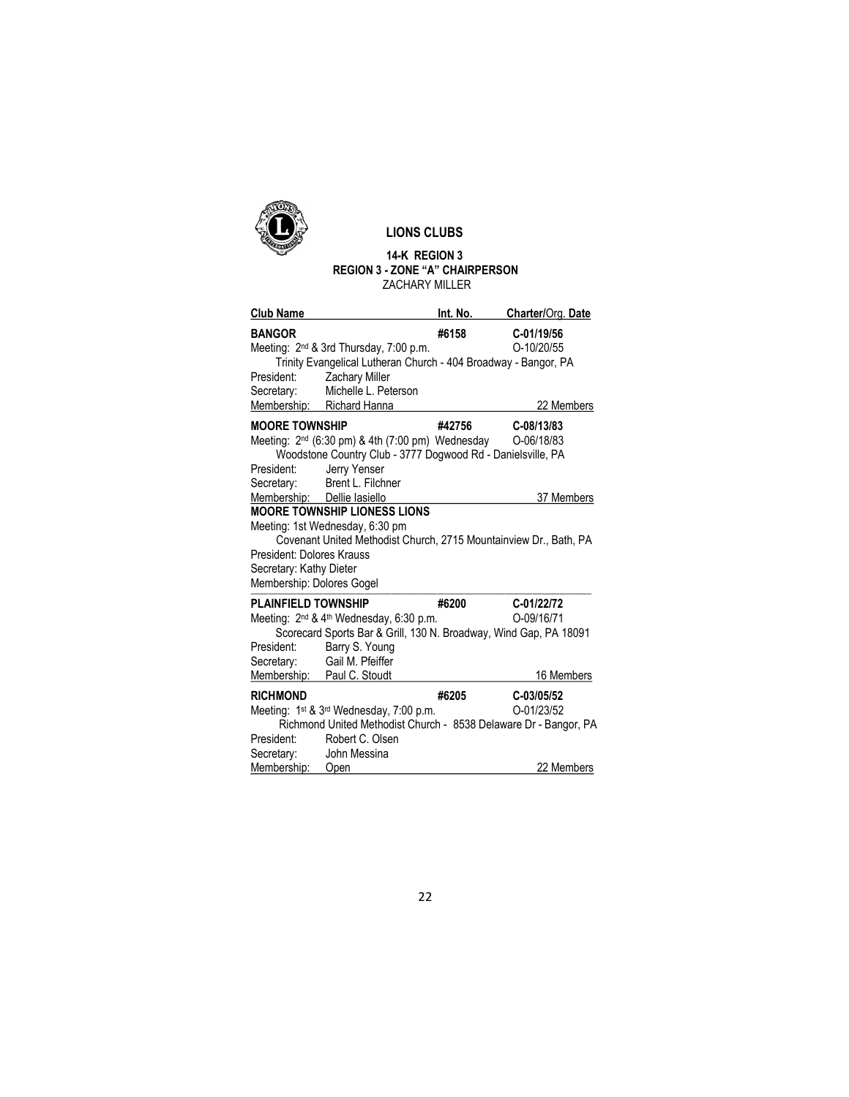

## LIONS CLUBS

## 14-K REGION 3 REGION 3 - ZONE "A" CHAIRPERSON ZACHARY MILLER

| <b>Club Name</b>                                                                  |                                                                                                                                                                             | Int. No. | Charter/Org. Date        |
|-----------------------------------------------------------------------------------|-----------------------------------------------------------------------------------------------------------------------------------------------------------------------------|----------|--------------------------|
| <b>BANGOR</b>                                                                     | Meeting: 2 <sup>nd</sup> & 3rd Thursday, 7:00 p.m.<br>Trinity Evangelical Lutheran Church - 404 Broadway - Bangor, PA                                                       | #6158    | C-01/19/56<br>O-10/20/55 |
| President:<br>Secretary:                                                          | Zachary Miller<br>Michelle L. Peterson                                                                                                                                      |          |                          |
|                                                                                   | Membership: Richard Hanna                                                                                                                                                   |          | 22 Members               |
| <b>MOORE TOWNSHIP</b><br>President:<br>Secretary:                                 | Meeting: 2 <sup>nd</sup> (6:30 pm) & 4th (7:00 pm) Wednesday 0-06/18/83<br>Woodstone Country Club - 3777 Dogwood Rd - Danielsville, PA<br>Jerry Yenser<br>Brent L. Filchner | #42756   | C-08/13/83               |
| Membership: Dellie lasiello                                                       |                                                                                                                                                                             |          | 37 Members               |
| President: Dolores Krauss<br>Secretary: Kathy Dieter<br>Membership: Dolores Gogel | Meeting: 1st Wednesday, 6:30 pm<br>Covenant United Methodist Church, 2715 Mountainview Dr., Bath, PA                                                                        |          |                          |
| <b>PLAINFIELD TOWNSHIP</b>                                                        |                                                                                                                                                                             | #6200    | C-01/22/72               |
| President:<br>Secretary:                                                          | Meeting: 2 <sup>nd</sup> & 4 <sup>th</sup> Wednesday, 6:30 p.m.<br>Scorecard Sports Bar & Grill, 130 N. Broadway, Wind Gap, PA 18091<br>Barry S. Young<br>Gail M. Pfeiffer  |          | O-09/16/71               |
|                                                                                   | Membership: Paul C. Stoudt                                                                                                                                                  |          | 16 Members               |
| <b>RICHMOND</b><br>President:                                                     | Meeting: 1 <sup>st</sup> & 3 <sup>rd</sup> Wednesday, 7:00 p.m.<br>Richmond United Methodist Church - 8538 Delaware Dr - Bangor, PA<br>Robert C. Olsen                      | #6205    | C-03/05/52<br>O-01/23/52 |
| Secretary:<br>Membership:                                                         | John Messina<br>Open                                                                                                                                                        |          | 22 Members               |